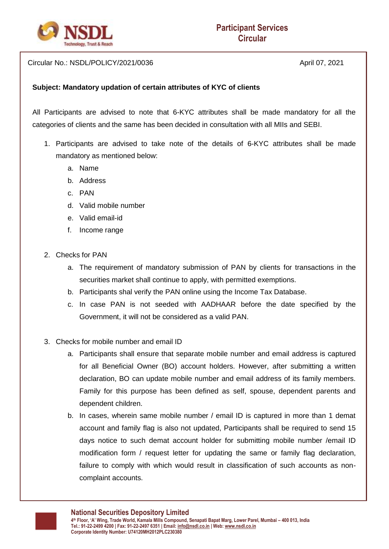

Circular No.: NSDL/POLICY/2021/0036 April 07, 2021

## **Subject: Mandatory updation of certain attributes of KYC of clients**

All Participants are advised to note that 6-KYC attributes shall be made mandatory for all the categories of clients and the same has been decided in consultation with all MIIs and SEBI.

- 1. Participants are advised to take note of the details of 6-KYC attributes shall be made mandatory as mentioned below:
	- a. Name
	- b. Address
	- c. PAN
	- d. Valid mobile number
	- e. Valid email-id
	- f. Income range
- 2. Checks for PAN
	- a. The requirement of mandatory submission of PAN by clients for transactions in the securities market shall continue to apply, with permitted exemptions.
	- b. Participants shal verify the PAN online using the Income Tax Database.
	- c. In case PAN is not seeded with AADHAAR before the date specified by the Government, it will not be considered as a valid PAN.
- 3. Checks for mobile number and email ID
	- a. Participants shall ensure that separate mobile number and email address is captured for all Beneficial Owner (BO) account holders. However, after submitting a written declaration, BO can update mobile number and email address of its family members. Family for this purpose has been defined as self, spouse, dependent parents and dependent children.
	- b. In cases, wherein same mobile number / email ID is captured in more than 1 demat account and family flag is also not updated, Participants shall be required to send 15 days notice to such demat account holder for submitting mobile number /email ID modification form / request letter for updating the same or family flag declaration, failure to comply with which would result in classification of such accounts as noncomplaint accounts.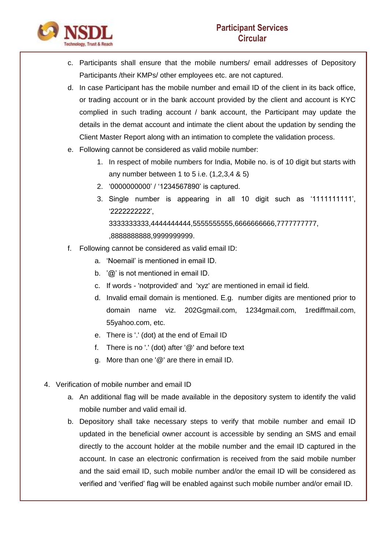

- c. Participants shall ensure that the mobile numbers/ email addresses of Depository Participants /their KMPs/ other employees etc. are not captured.
- d. In case Participant has the mobile number and email ID of the client in its back office, or trading account or in the bank account provided by the client and account is KYC complied in such trading account / bank account, the Participant may update the details in the demat account and intimate the client about the updation by sending the Client Master Report along with an intimation to complete the validation process.
- e. Following cannot be considered as valid mobile number:
	- 1. In respect of mobile numbers for India, Mobile no. is of 10 digit but starts with any number between 1 to 5 i.e. (1,2,3,4 & 5)
	- 2. '0000000000' / '1234567890' is captured.
	- 3. Single number is appearing in all 10 digit such as '1111111111', '2222222222', 3333333333,4444444444,5555555555,6666666666,7777777777,

,8888888888,9999999999.

- f. Following cannot be considered as valid email ID:
	- a. 'Noemail' is mentioned in email ID.
	- b. '@' is not mentioned in email ID.
	- c. If words 'notprovided' and 'xyz' are mentioned in email id field.
	- d. Invalid email domain is mentioned. E.g. number digits are mentioned prior to domain name viz. 202Ggmail.com, 1234gmail.com, 1rediffmail.com, 55yahoo.com, etc.
	- e. There is '.' (dot) at the end of Email ID
	- f. There is no '.' (dot) after '@' and before text
	- g. More than one '@' are there in email ID.
- 4. Verification of mobile number and email ID
	- a. An additional flag will be made available in the depository system to identify the valid mobile number and valid email id.
	- b. Depository shall take necessary steps to verify that mobile number and email ID updated in the beneficial owner account is accessible by sending an SMS and email directly to the account holder at the mobile number and the email ID captured in the account. In case an electronic confirmation is received from the said mobile number and the said email ID, such mobile number and/or the email ID will be considered as verified and 'verified' flag will be enabled against such mobile number and/or email ID.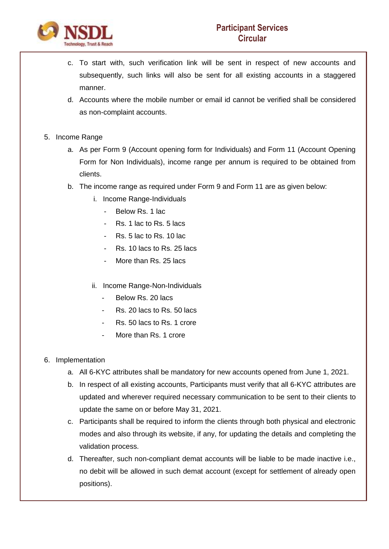

- c. To start with, such verification link will be sent in respect of new accounts and subsequently, such links will also be sent for all existing accounts in a staggered manner.
- d. Accounts where the mobile number or email id cannot be verified shall be considered as non-complaint accounts.
- 5. Income Range
	- a. As per Form 9 (Account opening form for Individuals) and Form 11 (Account Opening Form for Non Individuals), income range per annum is required to be obtained from clients.
	- b. The income range as required under Form 9 and Form 11 are as given below:
		- i. Income Range-Individuals
			- Below Rs. 1 lac
			- Rs. 1 lac to Rs. 5 lacs
			- Rs. 5 lac to Rs. 10 lac
			- Rs. 10 lacs to Rs. 25 lacs
			- More than Rs. 25 lacs
		- ii. Income Range-Non-Individuals
			- Below Rs. 20 lacs
			- Rs. 20 lacs to Rs. 50 lacs
			- Rs. 50 lacs to Rs. 1 crore
			- More than Rs. 1 crore
- 6. Implementation
	- a. All 6-KYC attributes shall be mandatory for new accounts opened from June 1, 2021.
	- b. In respect of all existing accounts, Participants must verify that all 6-KYC attributes are updated and wherever required necessary communication to be sent to their clients to update the same on or before May 31, 2021.
	- c. Participants shall be required to inform the clients through both physical and electronic modes and also through its website, if any, for updating the details and completing the validation process.
	- d. Thereafter, such non-compliant demat accounts will be liable to be made inactive i.e., no debit will be allowed in such demat account (except for settlement of already open positions).